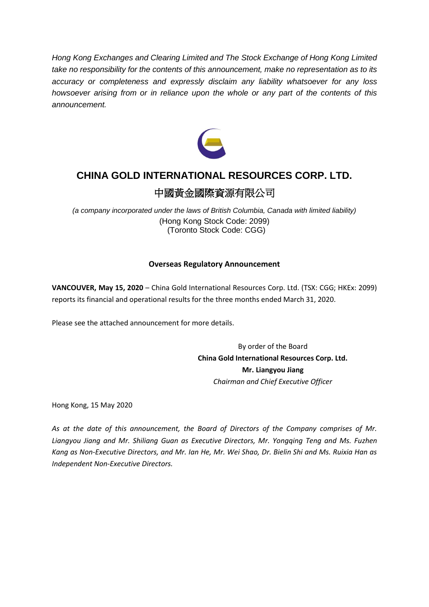*Hong Kong Exchanges and Clearing Limited and The Stock Exchange of Hong Kong Limited take no responsibility for the contents of this announcement, make no representation as to its accuracy or completeness and expressly disclaim any liability whatsoever for any loss howsoever arising from or in reliance upon the whole or any part of the contents of this announcement.*



# **CHINA GOLD INTERNATIONAL RESOURCES CORP. LTD.**

## 中國黃金國際資源有限公司

*(a company incorporated under the laws of British Columbia, Canada with limited liability)* (Hong Kong Stock Code: 2099) (Toronto Stock Code: CGG)

### **Overseas Regulatory Announcement**

**VANCOUVER, May 15, 2020** – China Gold International Resources Corp. Ltd. (TSX: CGG; HKEx: 2099) reports its financial and operational results for the three months ended March 31, 2020.

Please see the attached announcement for more details.

By order of the Board **China Gold International Resources Corp. Ltd. Mr. Liangyou Jiang** *Chairman and Chief Executive Officer*

Hong Kong, 15 May 2020

*As at the date of this announcement, the Board of Directors of the Company comprises of Mr. Liangyou Jiang and Mr. Shiliang Guan as Executive Directors, Mr. Yongqing Teng and Ms. Fuzhen Kang as Non‐Executive Directors, and Mr. Ian He, Mr. Wei Shao, Dr. Bielin Shi and Ms. Ruixia Han as Independent Non‐Executive Directors.*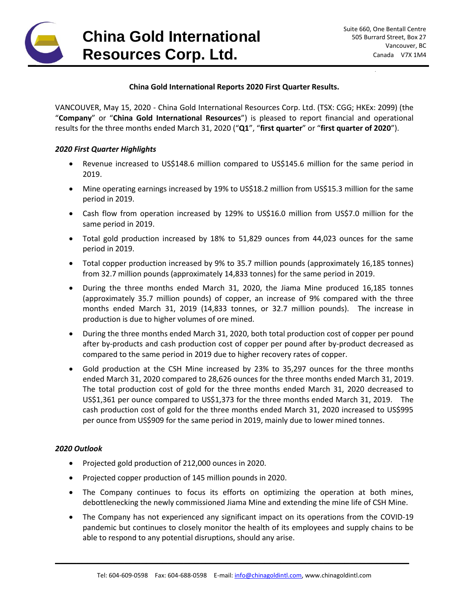

#### **China Gold International Reports 2020 First Quarter Results.**

VANCOUVER, May 15, 2020 - China Gold International Resources Corp. Ltd. (TSX: CGG; HKEx: 2099) (the "**Company**" or "**China Gold International Resources**") is pleased to report financial and operational results for the three months ended March 31, 2020 ("**Q1**", "**first quarter**" or "**first quarter of 2020**").

#### *2020 First Quarter Highlights*

- Revenue increased to US\$148.6 million compared to US\$145.6 million for the same period in 2019.
- Mine operating earnings increased by 19% to US\$18.2 million from US\$15.3 million for the same period in 2019.
- Cash flow from operation increased by 129% to US\$16.0 million from US\$7.0 million for the same period in 2019.
- Total gold production increased by 18% to 51,829 ounces from 44,023 ounces for the same period in 2019.
- Total copper production increased by 9% to 35.7 million pounds (approximately 16,185 tonnes) from 32.7 million pounds (approximately 14,833 tonnes) for the same period in 2019.
- During the three months ended March 31, 2020, the Jiama Mine produced 16,185 tonnes (approximately 35.7 million pounds) of copper, an increase of 9% compared with the three months ended March 31, 2019 (14,833 tonnes, or 32.7 million pounds). The increase in production is due to higher volumes of ore mined.
- During the three months ended March 31, 2020, both total production cost of copper per pound after by-products and cash production cost of copper per pound after by-product decreased as compared to the same period in 2019 due to higher recovery rates of copper.
- Gold production at the CSH Mine increased by 23% to 35,297 ounces for the three months ended March 31, 2020 compared to 28,626 ounces for the three months ended March 31, 2019. The total production cost of gold for the three months ended March 31, 2020 decreased to US\$1,361 per ounce compared to US\$1,373 for the three months ended March 31, 2019. The cash production cost of gold for the three months ended March 31, 2020 increased to US\$995 per ounce from US\$909 for the same period in 2019, mainly due to lower mined tonnes.

#### *2020 Outlook*

- Projected gold production of 212,000 ounces in 2020.
- Projected copper production of 145 million pounds in 2020.
- The Company continues to focus its efforts on optimizing the operation at both mines, debottlenecking the newly commissioned Jiama Mine and extending the mine life of CSH Mine.
- The Company has not experienced any significant impact on its operations from the COVID-19 pandemic but continues to closely monitor the health of its employees and supply chains to be able to respond to any potential disruptions, should any arise.

\_\_\_\_\_\_\_\_\_\_\_\_\_\_\_\_\_\_\_\_\_\_\_\_\_\_\_\_\_\_\_\_\_\_\_\_\_\_\_\_\_\_\_\_\_\_\_\_\_\_\_\_\_\_\_\_\_\_\_\_\_\_\_\_\_\_